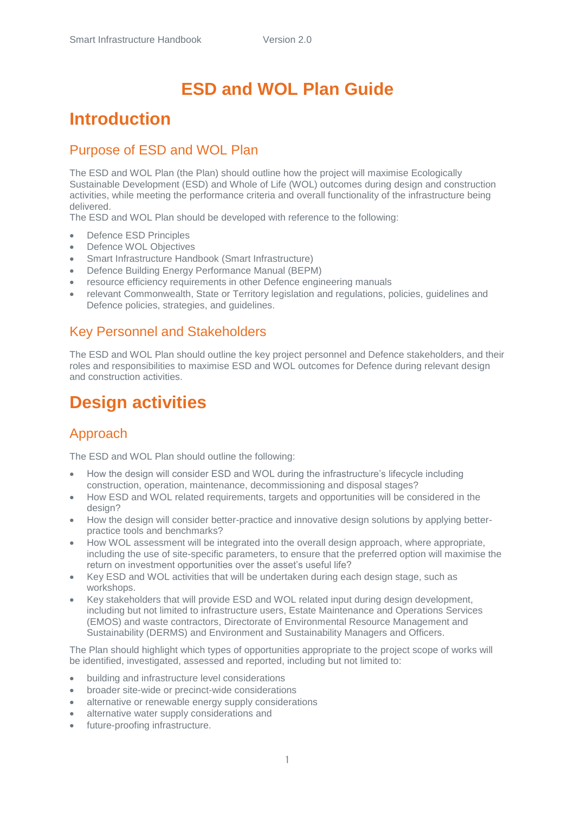# **ESD and WOL Plan Guide**

## **Introduction**

#### Purpose of ESD and WOL Plan

The ESD and WOL Plan (the Plan) should outline how the project will maximise Ecologically Sustainable Development (ESD) and Whole of Life (WOL) outcomes during design and construction activities, while meeting the performance criteria and overall functionality of the infrastructure being delivered.

The ESD and WOL Plan should be developed with reference to the following:

- Defence ESD Principles
- Defence WOL Objectives
- Smart Infrastructure Handbook (Smart Infrastructure)
- Defence Building Energy Performance Manual (BEPM)
- resource efficiency requirements in other Defence engineering manuals
- relevant Commonwealth, State or Territory legislation and regulations, policies, guidelines and Defence policies, strategies, and guidelines.

#### Key Personnel and Stakeholders

The ESD and WOL Plan should outline the key project personnel and Defence stakeholders, and their roles and responsibilities to maximise ESD and WOL outcomes for Defence during relevant design and construction activities.

## **Design activities**

#### Approach

The ESD and WOL Plan should outline the following:

- How the design will consider ESD and WOL during the infrastructure's lifecycle including construction, operation, maintenance, decommissioning and disposal stages?
- How ESD and WOL related requirements, targets and opportunities will be considered in the design?
- How the design will consider better-practice and innovative design solutions by applying betterpractice tools and benchmarks?
- How WOL assessment will be integrated into the overall design approach, where appropriate, including the use of site-specific parameters, to ensure that the preferred option will maximise the return on investment opportunities over the asset's useful life?
- Key ESD and WOL activities that will be undertaken during each design stage, such as workshops.
- Key stakeholders that will provide ESD and WOL related input during design development, including but not limited to infrastructure users, Estate Maintenance and Operations Services (EMOS) and waste contractors, Directorate of Environmental Resource Management and Sustainability (DERMS) and Environment and Sustainability Managers and Officers.

The Plan should highlight which types of opportunities appropriate to the project scope of works will be identified, investigated, assessed and reported, including but not limited to:

- building and infrastructure level considerations
- broader site-wide or precinct-wide considerations
- alternative or renewable energy supply considerations
- alternative water supply considerations and
- future-proofing infrastructure.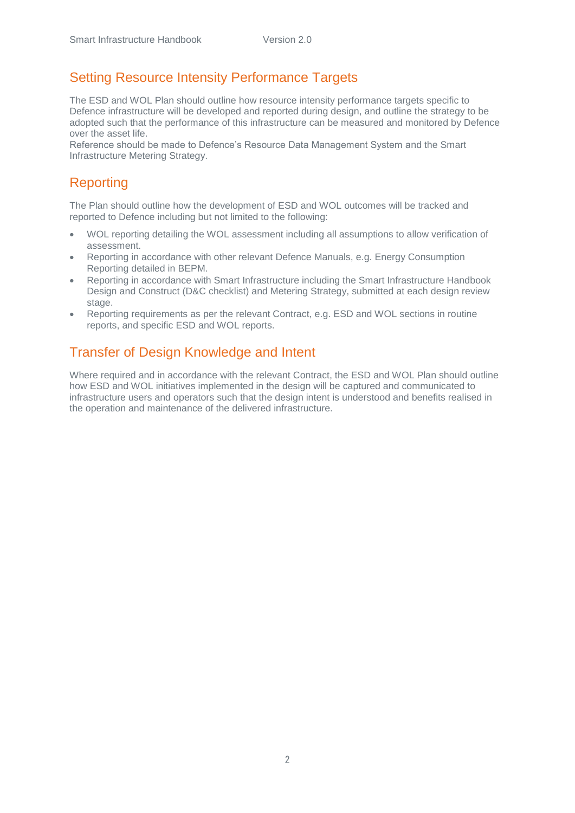#### Setting Resource Intensity Performance Targets

The ESD and WOL Plan should outline how resource intensity performance targets specific to Defence infrastructure will be developed and reported during design, and outline the strategy to be adopted such that the performance of this infrastructure can be measured and monitored by Defence over the asset life.

Reference should be made to Defence's Resource Data Management System and the Smart Infrastructure Metering Strategy.

#### Reporting

The Plan should outline how the development of ESD and WOL outcomes will be tracked and reported to Defence including but not limited to the following:

- WOL reporting detailing the WOL assessment including all assumptions to allow verification of assessment.
- Reporting in accordance with other relevant Defence Manuals, e.g. Energy Consumption Reporting detailed in BEPM.
- Reporting in accordance with Smart Infrastructure including the Smart Infrastructure Handbook Design and Construct (D&C checklist) and Metering Strategy, submitted at each design review stage.
- Reporting requirements as per the relevant Contract, e.g. ESD and WOL sections in routine reports, and specific ESD and WOL reports.

#### Transfer of Design Knowledge and Intent

Where required and in accordance with the relevant Contract, the ESD and WOL Plan should outline how ESD and WOL initiatives implemented in the design will be captured and communicated to infrastructure users and operators such that the design intent is understood and benefits realised in the operation and maintenance of the delivered infrastructure.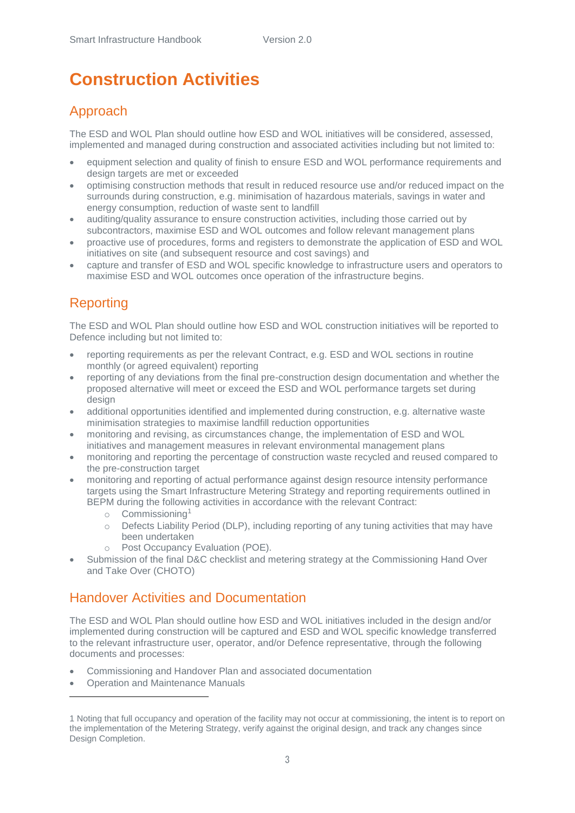# **Construction Activities**

### Approach

The ESD and WOL Plan should outline how ESD and WOL initiatives will be considered, assessed, implemented and managed during construction and associated activities including but not limited to:

- equipment selection and quality of finish to ensure ESD and WOL performance requirements and design targets are met or exceeded
- optimising construction methods that result in reduced resource use and/or reduced impact on the surrounds during construction, e.g. minimisation of hazardous materials, savings in water and energy consumption, reduction of waste sent to landfill
- auditing/quality assurance to ensure construction activities, including those carried out by subcontractors, maximise ESD and WOL outcomes and follow relevant management plans
- proactive use of procedures, forms and registers to demonstrate the application of ESD and WOL initiatives on site (and subsequent resource and cost savings) and
- capture and transfer of ESD and WOL specific knowledge to infrastructure users and operators to maximise ESD and WOL outcomes once operation of the infrastructure begins.

## Reporting

The ESD and WOL Plan should outline how ESD and WOL construction initiatives will be reported to Defence including but not limited to:

- reporting requirements as per the relevant Contract, e.g. ESD and WOL sections in routine monthly (or agreed equivalent) reporting
- reporting of any deviations from the final pre-construction design documentation and whether the proposed alternative will meet or exceed the ESD and WOL performance targets set during design
- additional opportunities identified and implemented during construction, e.g. alternative waste minimisation strategies to maximise landfill reduction opportunities
- monitoring and revising, as circumstances change, the implementation of ESD and WOL initiatives and management measures in relevant environmental management plans
- monitoring and reporting the percentage of construction waste recycled and reused compared to the pre-construction target
- monitoring and reporting of actual performance against design resource intensity performance targets using the Smart Infrastructure Metering Strategy and reporting requirements outlined in BEPM during the following activities in accordance with the relevant Contract:
	- o Commissioning<sup>1</sup>
	- $\circ$  Defects Liability Period (DLP), including reporting of any tuning activities that may have been undertaken
	- Post Occupancy Evaluation (POE).
- Submission of the final D&C checklist and metering strategy at the Commissioning Hand Over and Take Over (CHOTO)

#### Handover Activities and Documentation

The ESD and WOL Plan should outline how ESD and WOL initiatives included in the design and/or implemented during construction will be captured and ESD and WOL specific knowledge transferred to the relevant infrastructure user, operator, and/or Defence representative, through the following documents and processes:

- Commissioning and Handover Plan and associated documentation
- Operation and Maintenance Manuals

**.** 

<sup>1</sup> Noting that full occupancy and operation of the facility may not occur at commissioning, the intent is to report on the implementation of the Metering Strategy, verify against the original design, and track any changes since Design Completion.